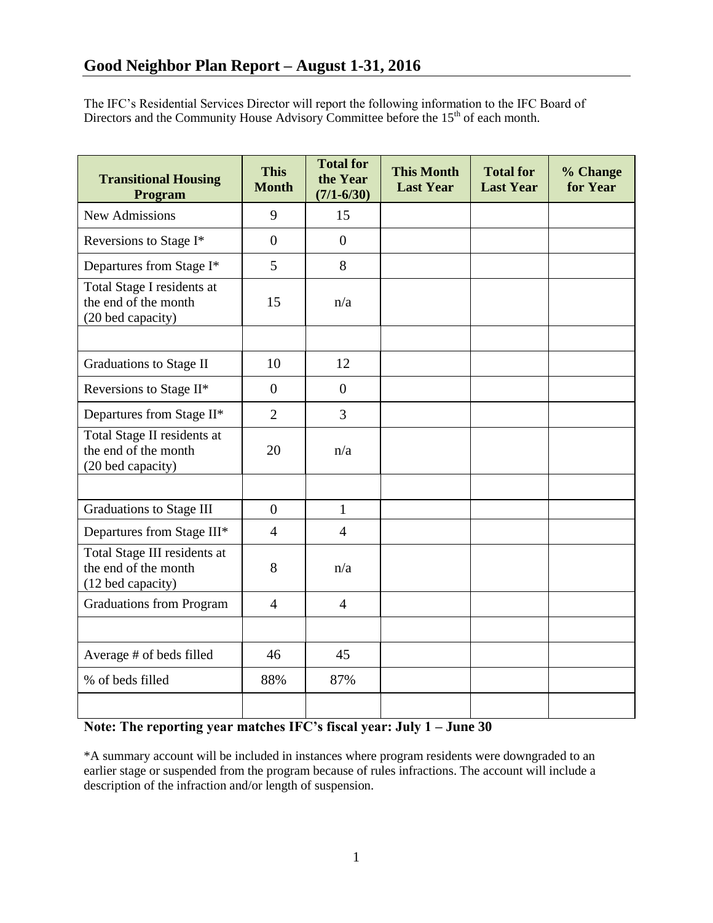The IFC's Residential Services Director will report the following information to the IFC Board of Directors and the Community House Advisory Committee before the 15<sup>th</sup> of each month.

| <b>Transitional Housing</b><br>Program                                    | <b>This</b><br><b>Month</b> | <b>Total for</b><br>the Year<br>$(7/1 - 6/30)$ | <b>This Month</b><br><b>Last Year</b> | <b>Total for</b><br><b>Last Year</b> | % Change<br>for Year |
|---------------------------------------------------------------------------|-----------------------------|------------------------------------------------|---------------------------------------|--------------------------------------|----------------------|
| <b>New Admissions</b>                                                     | 9                           | 15                                             |                                       |                                      |                      |
| Reversions to Stage I*                                                    | $\overline{0}$              | $\overline{0}$                                 |                                       |                                      |                      |
| Departures from Stage I*                                                  | 5                           | 8                                              |                                       |                                      |                      |
| Total Stage I residents at<br>the end of the month<br>(20 bed capacity)   | 15                          | n/a                                            |                                       |                                      |                      |
|                                                                           |                             |                                                |                                       |                                      |                      |
| Graduations to Stage II                                                   | 10                          | 12                                             |                                       |                                      |                      |
| Reversions to Stage II*                                                   | $\overline{0}$              | $\overline{0}$                                 |                                       |                                      |                      |
| Departures from Stage II*                                                 | $\overline{2}$              | $\overline{3}$                                 |                                       |                                      |                      |
| Total Stage II residents at<br>the end of the month<br>(20 bed capacity)  | 20                          | n/a                                            |                                       |                                      |                      |
|                                                                           |                             |                                                |                                       |                                      |                      |
| Graduations to Stage III                                                  | $\overline{0}$              | $\mathbf{1}$                                   |                                       |                                      |                      |
| Departures from Stage III*                                                | $\overline{4}$              | $\overline{4}$                                 |                                       |                                      |                      |
| Total Stage III residents at<br>the end of the month<br>(12 bed capacity) | 8                           | n/a                                            |                                       |                                      |                      |
| <b>Graduations from Program</b>                                           | $\overline{4}$              | $\overline{4}$                                 |                                       |                                      |                      |
|                                                                           |                             |                                                |                                       |                                      |                      |
| Average # of beds filled                                                  | 46                          | 45                                             |                                       |                                      |                      |
| % of beds filled                                                          | 88%                         | 87%                                            |                                       |                                      |                      |
|                                                                           |                             |                                                |                                       |                                      |                      |

# **Note: The reporting year matches IFC's fiscal year: July 1 – June 30**

\*A summary account will be included in instances where program residents were downgraded to an earlier stage or suspended from the program because of rules infractions. The account will include a description of the infraction and/or length of suspension.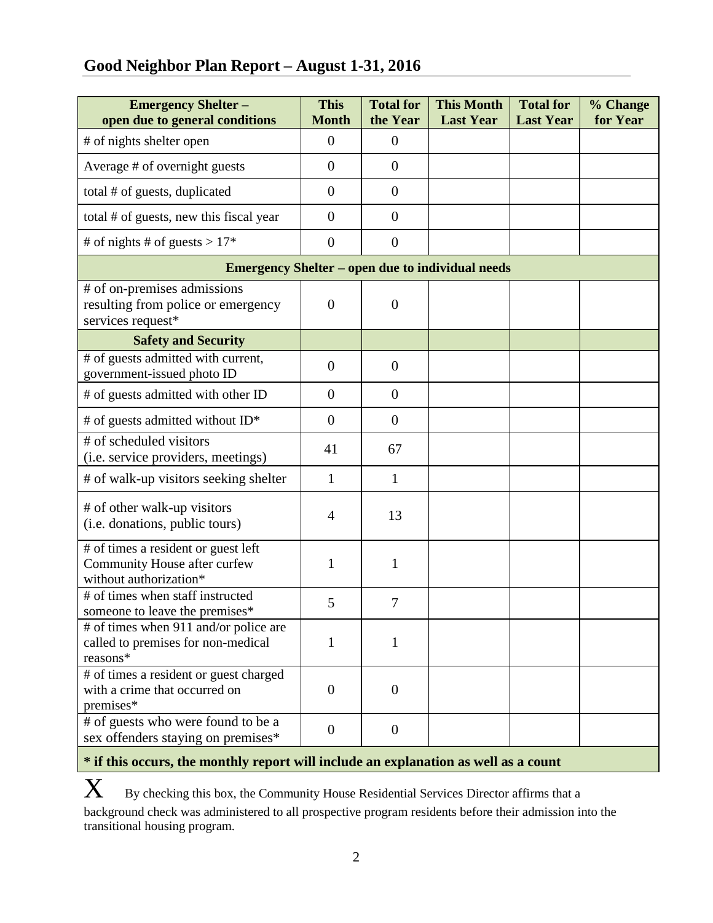# **Good Neighbor Plan Report – August 1-31, 2016**

| <b>Emergency Shelter -</b><br>open due to general conditions                                  | <b>This</b><br><b>Month</b> | <b>Total for</b><br>the Year | <b>This Month</b><br><b>Last Year</b> | <b>Total for</b><br><b>Last Year</b> | % Change<br>for Year |  |  |  |
|-----------------------------------------------------------------------------------------------|-----------------------------|------------------------------|---------------------------------------|--------------------------------------|----------------------|--|--|--|
| # of nights shelter open                                                                      | $\overline{0}$              | $\overline{0}$               |                                       |                                      |                      |  |  |  |
| Average # of overnight guests                                                                 | $\overline{0}$              | $\overline{0}$               |                                       |                                      |                      |  |  |  |
| total # of guests, duplicated                                                                 | $\overline{0}$              | $\boldsymbol{0}$             |                                       |                                      |                      |  |  |  |
| total # of guests, new this fiscal year                                                       | $\overline{0}$              | $\overline{0}$               |                                       |                                      |                      |  |  |  |
| # of nights # of guests > $17*$                                                               | $\overline{0}$              | $\overline{0}$               |                                       |                                      |                      |  |  |  |
| <b>Emergency Shelter – open due to individual needs</b>                                       |                             |                              |                                       |                                      |                      |  |  |  |
| # of on-premises admissions<br>resulting from police or emergency<br>services request*        | $\overline{0}$              | $\overline{0}$               |                                       |                                      |                      |  |  |  |
| <b>Safety and Security</b>                                                                    |                             |                              |                                       |                                      |                      |  |  |  |
| # of guests admitted with current,<br>government-issued photo ID                              | $\overline{0}$              | $\overline{0}$               |                                       |                                      |                      |  |  |  |
| # of guests admitted with other ID                                                            | $\overline{0}$              | $\overline{0}$               |                                       |                                      |                      |  |  |  |
| # of guests admitted without ID*                                                              | $\overline{0}$              | $\boldsymbol{0}$             |                                       |                                      |                      |  |  |  |
| # of scheduled visitors<br>(i.e. service providers, meetings)                                 | 41                          | 67                           |                                       |                                      |                      |  |  |  |
| # of walk-up visitors seeking shelter                                                         | $\mathbf{1}$                | $\mathbf{1}$                 |                                       |                                      |                      |  |  |  |
| # of other walk-up visitors<br>(i.e. donations, public tours)                                 | $\overline{4}$              | 13                           |                                       |                                      |                      |  |  |  |
| # of times a resident or guest left<br>Community House after curfew<br>without authorization* | 1                           | $\mathbf{1}$                 |                                       |                                      |                      |  |  |  |
| # of times when staff instructed<br>someone to leave the premises*                            | 5                           | $\overline{7}$               |                                       |                                      |                      |  |  |  |
| # of times when 911 and/or police are<br>called to premises for non-medical<br>reasons*       | 1                           | 1                            |                                       |                                      |                      |  |  |  |
| # of times a resident or guest charged<br>with a crime that occurred on<br>premises*          | $\overline{0}$              | $\boldsymbol{0}$             |                                       |                                      |                      |  |  |  |
| # of guests who were found to be a<br>sex offenders staying on premises*                      | $\overline{0}$              | $\boldsymbol{0}$             |                                       |                                      |                      |  |  |  |

# **\* if this occurs, the monthly report will include an explanation as well as a count**

 $\mathbf X$  By checking this box, the Community House Residential Services Director affirms that a background check was administered to all prospective program residents before their admission into the transitional housing program.